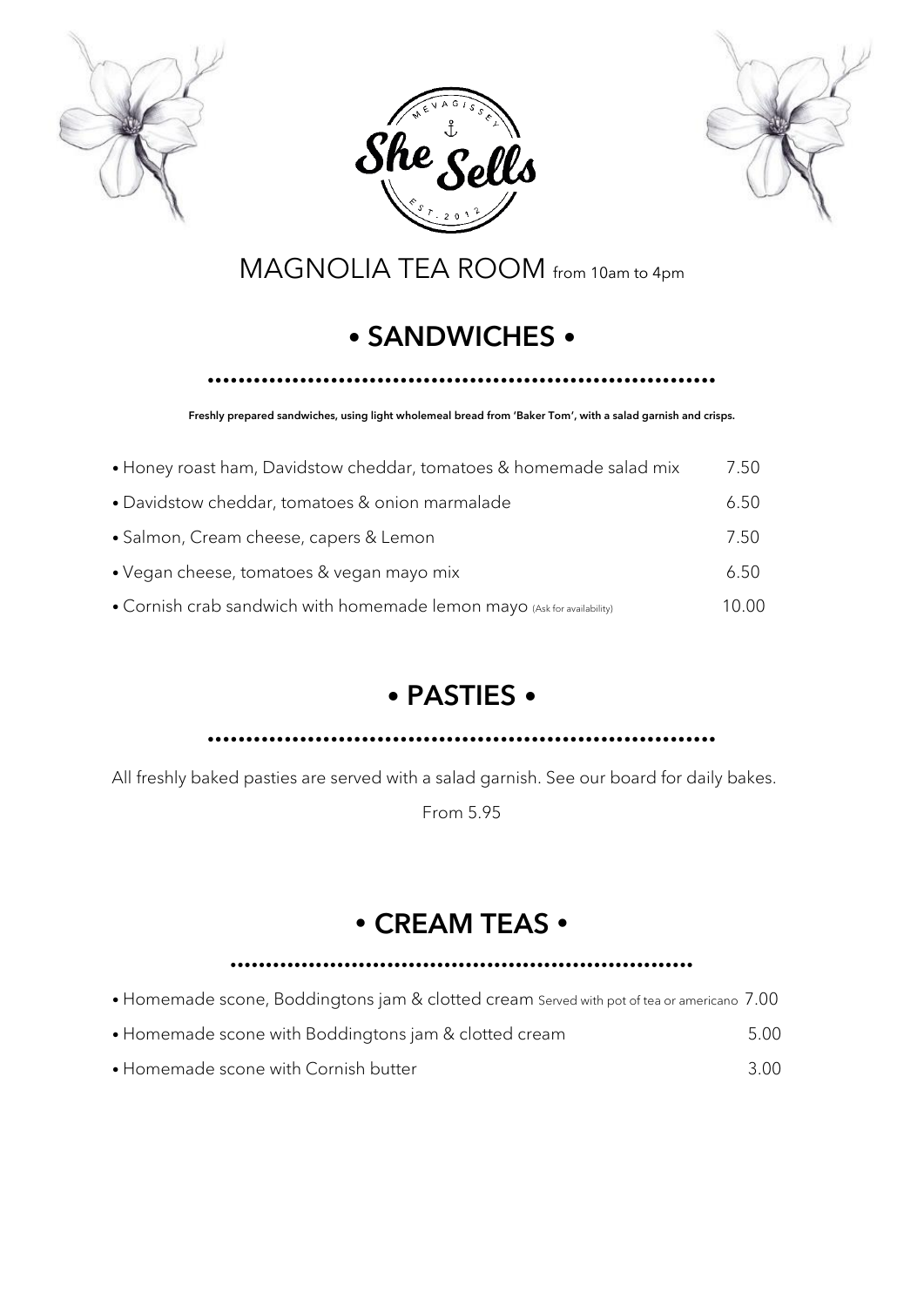





MAGNOLIA TEA ROOM from 10am to 4pm

## • SANDWICHES •

#### ••••••••••••••••••••••••••••••••••••••••••••••••••••••••••••••••••

Freshly prepared sandwiches, using light wholemeal bread from 'Baker Tom', with a salad garnish and crisps.

| • Honey roast ham, Davidstow cheddar, tomatoes & homemade salad mix     | 7.50 |
|-------------------------------------------------------------------------|------|
| • Davidstow cheddar, tomatoes & onion marmalade                         | 6.50 |
| • Salmon, Cream cheese, capers & Lemon                                  | 7.50 |
| • Vegan cheese, tomatoes & vegan mayo mix                               | 6.50 |
| • Cornish crab sandwich with homemade lemon mayo (Ask for availability) | 0.00 |

#### • PASTIES •

••••••••••••••••••••••••••••••••••••••••••••••••••••••••••••••••••

All freshly baked pasties are served with a salad garnish. See our board for daily bakes.

From 5.95

#### • CREAM TEAS •

#### •••••••••••••••••••••••••••••••••••••••••••••••••••••••••••••••••

- Homemade scone, Boddingtons jam & clotted cream Served with pot of tea or americano 7.00
- Homemade scone with Boddingtons jam & clotted cream 5.00
- Homemade scone with Cornish butter 3.00